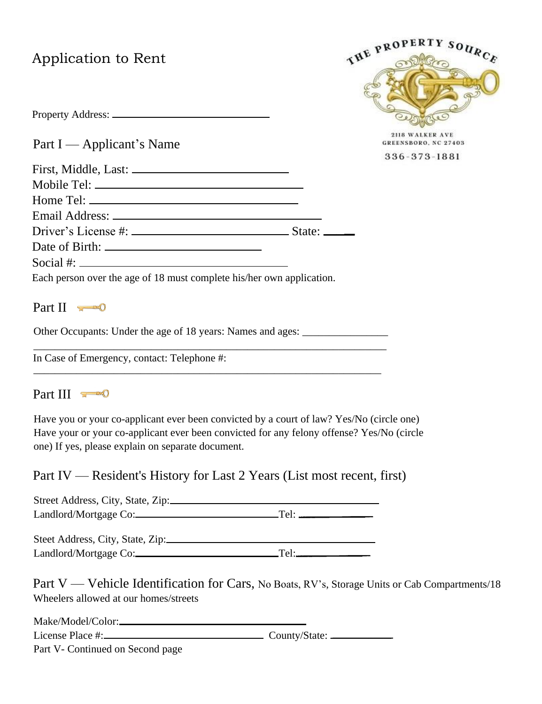# Application to Rent



GREENSBORO, NC 27403 336-373-1881

Part I — Applicant's Name

Property Address:

| First, Middle, Last:                                                                                                                                                                                                                                                                                   |  |
|--------------------------------------------------------------------------------------------------------------------------------------------------------------------------------------------------------------------------------------------------------------------------------------------------------|--|
|                                                                                                                                                                                                                                                                                                        |  |
|                                                                                                                                                                                                                                                                                                        |  |
|                                                                                                                                                                                                                                                                                                        |  |
|                                                                                                                                                                                                                                                                                                        |  |
|                                                                                                                                                                                                                                                                                                        |  |
| Social #: $\frac{1}{2}$ = $\frac{1}{2}$ = $\frac{1}{2}$ = $\frac{1}{2}$ = $\frac{1}{2}$ = $\frac{1}{2}$ = $\frac{1}{2}$ = $\frac{1}{2}$ = $\frac{1}{2}$ = $\frac{1}{2}$ = $\frac{1}{2}$ = $\frac{1}{2}$ = $\frac{1}{2}$ = $\frac{1}{2}$ = $\frac{1}{2}$ = $\frac{1}{2}$ = $\frac{1}{2}$ = $\frac{1}{2$ |  |
| Each person over the age of 18 must complete his/her own application.                                                                                                                                                                                                                                  |  |

## Part II **FOR**

Other Occupants: Under the age of 18 years: Names and ages: \_\_\_\_\_\_\_\_\_\_\_\_\_\_\_\_\_\_\_\_\_ \_\_\_\_\_\_\_\_\_\_\_\_\_\_\_\_\_\_\_\_\_\_\_\_\_\_\_\_\_\_\_\_\_\_\_\_\_\_\_\_\_\_\_\_\_\_\_\_\_\_\_\_\_\_\_\_\_\_\_\_\_\_\_\_\_\_

In Case of Emergency, contact: Telephone #: \_\_\_\_\_\_\_\_\_\_\_\_\_\_\_\_\_\_\_\_\_\_\_\_\_\_\_\_\_\_\_\_\_\_\_\_\_\_\_\_\_\_\_\_\_\_\_\_\_\_\_\_\_\_\_\_\_\_\_\_\_\_\_\_\_

## Part III == 0

Have you or your co-applicant ever been convicted by a court of law? Yes/No (circle one) Have your or your co-applicant ever been convicted for any felony offense? Yes/No (circle one) If yes, please explain on separate document.

Part IV — Resident's History for Last 2 Years (List most recent, first)

| Street Address, City, State, Zip: |  |
|-----------------------------------|--|
| Landlord/Mortgage Co:             |  |
|                                   |  |
| Steet Address, City, State, Zip:  |  |
| Landlord/Mortgage Co:             |  |

Part V — Vehicle Identification for Cars, No Boats, RV's, Storage Units or Cab Compartments/18 Wheelers allowed at our homes/streets

| Make/Model/Color:_                                         |  |
|------------------------------------------------------------|--|
| License Place #:_                                          |  |
| $D_{out}$ $V$ $C_{out}$ $L_{in}$ $A$ and $C_{out}$ $A$ $n$ |  |

Part V- Continued on Second page